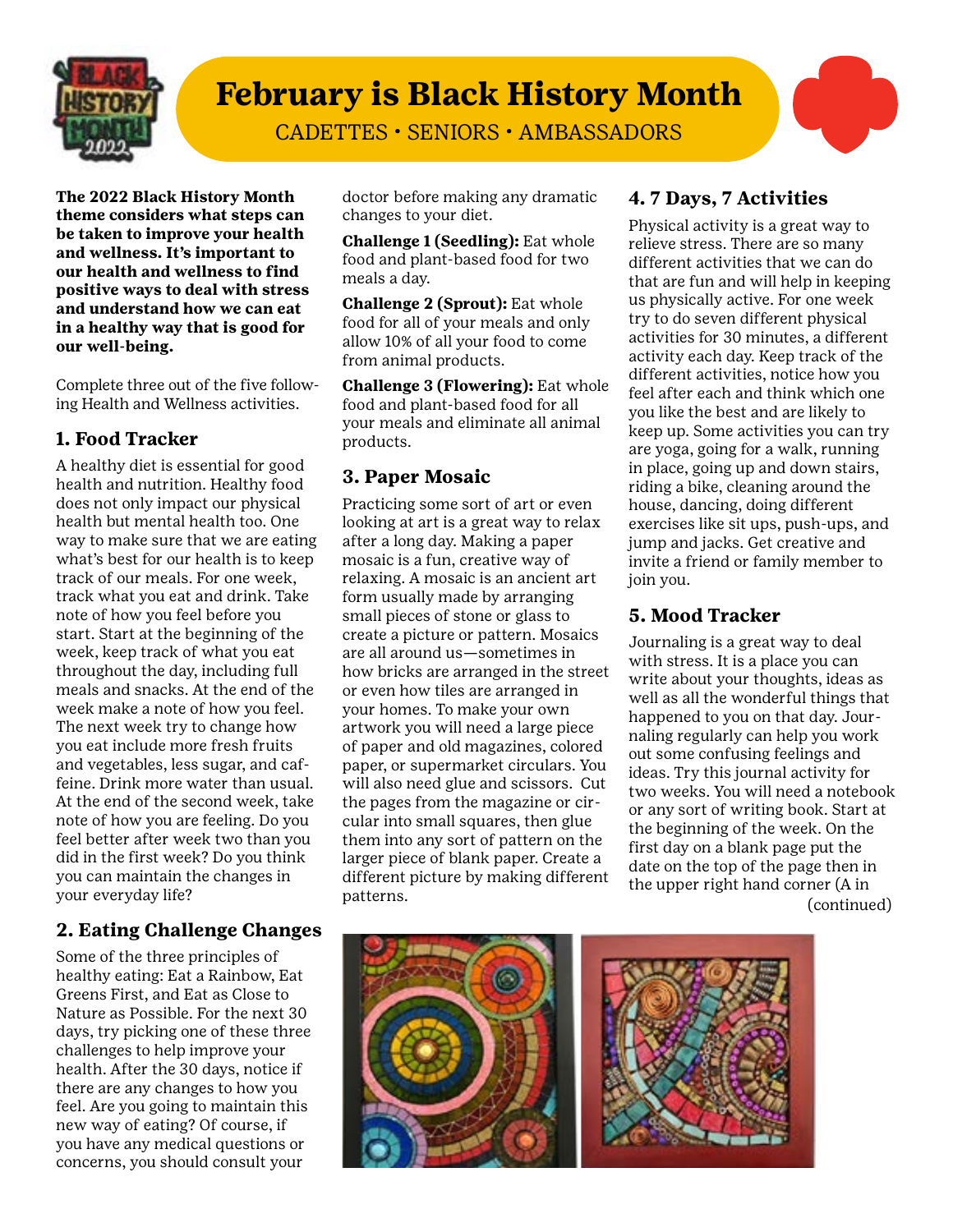

# **February is Black History Month**

CADETTES • SENIORS • AMBASSADORS

**The 2022 Black History Month theme considers what steps can be taken to improve your health and wellness. It's important to our health and wellness to find positive ways to deal with stress and understand how we can eat in a healthy way that is good for our well-being.** 

Complete three out of the five following Health and Wellness activities.

## **1. Food Tracker**

A healthy diet is essential for good health and nutrition. Healthy food does not only impact our physical health but mental health too. One way to make sure that we are eating what's best for our health is to keep track of our meals. For one week, track what you eat and drink. Take note of how you feel before you start. Start at the beginning of the week, keep track of what you eat throughout the day, including full meals and snacks. At the end of the week make a note of how you feel. The next week try to change how you eat include more fresh fruits and vegetables, less sugar, and caffeine. Drink more water than usual. At the end of the second week, take note of how you are feeling. Do you feel better after week two than you did in the first week? Do you think you can maintain the changes in your everyday life?

### **2. Eating Challenge Changes**

Some of the three principles of healthy eating: Eat a Rainbow, Eat Greens First, and Eat as Close to Nature as Possible. For the next 30 days, try picking one of these three challenges to help improve your health. After the 30 days, notice if there are any changes to how you feel. Are you going to maintain this new way of eating? Of course, if you have any medical questions or concerns, you should consult your

doctor before making any dramatic changes to your diet.

**Challenge 1 (Seedling):** Eat whole food and plant-based food for two meals a day.

**Challenge 2 (Sprout):** Eat whole food for all of your meals and only allow 10% of all your food to come from animal products.

**Challenge 3 (Flowering):** Eat whole food and plant-based food for all your meals and eliminate all animal products.

## **3. Paper Mosaic**

Practicing some sort of art or even looking at art is a great way to relax after a long day. Making a paper mosaic is a fun, creative way of relaxing. A mosaic is an ancient art form usually made by arranging small pieces of stone or glass to create a picture or pattern. Mosaics are all around us—sometimes in how bricks are arranged in the street or even how tiles are arranged in your homes. To make your own artwork you will need a large piece of paper and old magazines, colored paper, or supermarket circulars. You will also need glue and scissors. Cut the pages from the magazine or circular into small squares, then glue them into any sort of pattern on the larger piece of blank paper. Create a different picture by making different patterns.

## **4. 7 Days, 7 Activities**

Physical activity is a great way to relieve stress. There are so many different activities that we can do that are fun and will help in keeping us physically active. For one week try to do seven different physical activities for 30 minutes, a different activity each day. Keep track of the different activities, notice how you feel after each and think which one you like the best and are likely to keep up. Some activities you can try are yoga, going for a walk, running in place, going up and down stairs, riding a bike, cleaning around the house, dancing, doing different exercises like sit ups, push-ups, and jump and jacks. Get creative and invite a friend or family member to join you.

#### **5. Mood Tracker**

Journaling is a great way to deal with stress. It is a place you can write about your thoughts, ideas as well as all the wonderful things that happened to you on that day. Journaling regularly can help you work out some confusing feelings and ideas. Try this journal activity for two weeks. You will need a notebook or any sort of writing book. Start at the beginning of the week. On the first day on a blank page put the date on the top of the page then in the upper right hand corner (A in (continued)